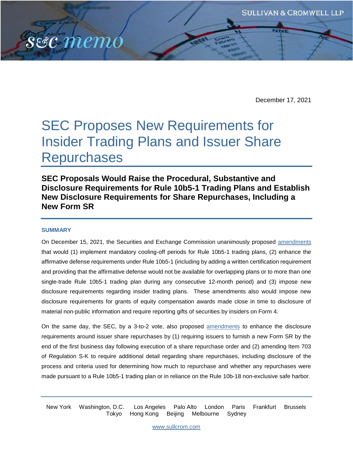December 17, 2021

# SEC Proposes New Requirements for Insider Trading Plans and Issuer Share **Repurchases**

**SEC Proposals Would Raise the Procedural, Substantive and Disclosure Requirements for Rule 10b5-1 Trading Plans and Establish New Disclosure Requirements for Share Repurchases, Including a New Form SR** 

#### **SUMMARY**

sec memo

On December 15, 2021, the Securities and Exchange Commission unanimously proposed [amendments](https://www.sec.gov/rules/proposed/2021/33-11013.pdf) that would (1) implement mandatory cooling-off periods for Rule 10b5-1 trading plans, (2) enhance the affirmative defense requirements under Rule 10b5-1 (including by adding a written certification requirement and providing that the affirmative defense would not be available for overlapping plans or to more than one single-trade Rule 10b5-1 trading plan during any consecutive 12-month period) and (3) impose new disclosure requirements regarding insider trading plans. These amendments also would impose new disclosure requirements for grants of equity compensation awards made close in time to disclosure of material non-public information and require reporting gifts of securities by insiders on Form 4.

On the same day, the SEC, by a 3-to-2 vote, also proposed [amendments](https://www.sec.gov/rules/proposed/2021/34-93783.pdf) to enhance the disclosure requirements around issuer share repurchases by (1) requiring issuers to furnish a new Form SR by the end of the first business day following execution of a share repurchase order and (2) amending Item 703 of Regulation S-K to require additional detail regarding share repurchases, including disclosure of the process and criteria used for determining how much to repurchase and whether any repurchases were made pursuant to a Rule 10b5-1 trading plan or in reliance on the Rule 10b-18 non-exclusive safe harbor.

New York Washington, D.C. Los Angeles Palo Alto London Paris Frankfurt Brussels Tokyo Hong Kong Beijing Melbourne Sydney

[www.sullcrom.com](http://www.sullcrom.com/)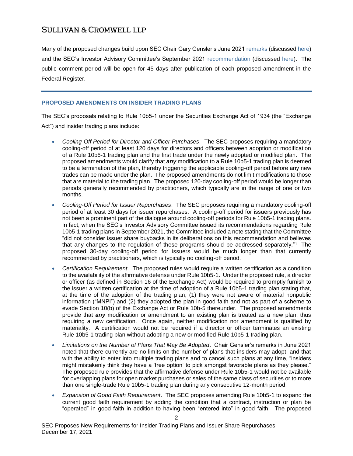Many of the proposed changes build upon SEC Chair Gary Gensler's June 2021 [remarks](https://www.sec.gov/news/speech/gensler-cfo-network-2021-06-07) (discusse[d here\)](https://www.sullcrom.com/sc-publication-SEC-chair-statement-on-rule-10b5-1-trading-plans) and the SEC's Investor Advisory Committee's September 2021 [recommendation](https://www.sec.gov/spotlight/investor-advisory-committee-2012/20210916-10b5-1-recommendation.pdf) (discussed [here\)](https://www.sullcrom.com/files/upload/sc-publication-SEC-Investor-Advisory-Committee-Recommendation-Rule-10b5-1-Plans.pdf). The public comment period will be open for 45 days after publication of each proposed amendment in the Federal Register.

## **PROPOSED AMENDMENTS ON INSIDER TRADING PLANS**

The SEC's proposals relating to Rule 10b5-1 under the Securities Exchange Act of 1934 (the "Exchange Act") and insider trading plans include:

- *Cooling-Off Period for Director and Officer Purchases*.The SEC proposes requiring a mandatory cooling-off period of at least 120 days for directors and officers between adoption or modification of a Rule 10b5-1 trading plan and the first trade under the newly adopted or modified plan. The proposed amendments would clarify that *any* modification to a Rule 10b5-1 trading plan is deemed to be a termination of the plan, thereby triggering the applicable cooling-off period before any new trades can be made under the plan. The proposed amendments do not limit modifications to those that are material to the trading plan. The proposed 120-day cooling-off period would be longer than periods generally recommended by practitioners, which typically are in the range of one or two months.
- *Cooling-Off Period for Issuer Repurchases*.The SEC proposes requiring a mandatory cooling-off period of at least 30 days for issuer repurchases. A cooling-off period for issuers previously has not been a prominent part of the dialogue around cooling-off periods for Rule 10b5-1 trading plans. In fact, when the SEC's Investor Advisory Committee issued its recommendations regarding Rule 10b5-1 trading plans in September 2021, the Committee included a note stating that the Committee "did not consider issuer share buybacks in its deliberations on this recommendation and believes that any changes to the regulation of these programs should be addressed separately."<sup>1</sup> The proposed 30-day cooling-off period for issuers would be much longer than that currently recommended by practitioners, which is typically no cooling-off period.
- *Certification Requirement*.The proposed rules would require a written certification as a condition to the availability of the affirmative defense under Rule 10b5-1. Under the proposed rule, a director or officer (as defined in Section 16 of the Exchange Act) would be required to promptly furnish to the issuer a written certification at the time of adoption of a Rule 10b5-1 trading plan stating that, at the time of the adoption of the trading plan, (1) they were not aware of material nonpublic information ("MNPI") and (2) they adopted the plan in good faith and not as part of a scheme to evade Section 10(b) of the Exchange Act or Rule 10b-5 thereunder. The proposed amendments provide that *any* modification or amendment to an existing plan is treated as a new plan, thus requiring a new certification. Once again, neither modification nor amendment is qualified by materiality. A certification would not be required if a director or officer terminates an existing Rule 10b5-1 trading plan without adopting a new or modified Rule 10b5-1 trading plan.
- *Limitations on the Number of Plans That May Be Adopted*.Chair Gensler's remarks in June 2021 noted that there currently are no limits on the number of plans that insiders may adopt, and that with the ability to enter into multiple trading plans and to cancel such plans at any time, "insiders might mistakenly think they have a 'free option' to pick amongst favorable plans as they please." The proposed rule provides that the affirmative defense under Rule 10b5-1 would not be available for overlapping plans for open market purchases or sales of the same class of securities or to more than one single-trade Rule 10b5-1 trading plan during any consecutive 12-month period.
- *Expansion of Good Faith Requirement*.The SEC proposes amending Rule 10b5-1 to expand the current good faith requirement by adding the condition that a contract, instruction or plan be "operated" in good faith in addition to having been "entered into" in good faith. The proposed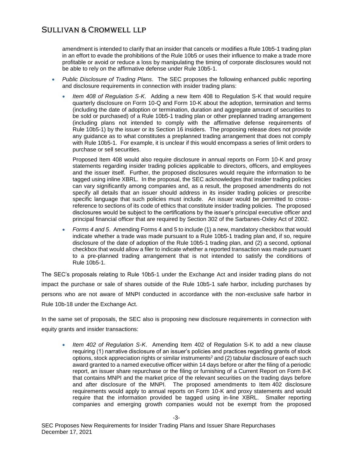amendment is intended to clarify that an insider that cancels or modifies a Rule 10b5-1 trading plan in an effort to evade the prohibitions of the Rule 10b5 or uses their influence to make a trade more profitable or avoid or reduce a loss by manipulating the timing of corporate disclosures would not be able to rely on the affirmative defense under Rule 10b5-1.

- *Public Disclosure of Trading Plans*.The SEC proposes the following enhanced public reporting and disclosure requirements in connection with insider trading plans:
	- *Item 408 of Regulation S-K*. Adding a new Item 408 to Regulation S-K that would require quarterly disclosure on Form 10-Q and Form 10-K about the adoption, termination and terms (including the date of adoption or termination, duration and aggregate amount of securities to be sold or purchased) of a Rule 10b5-1 trading plan or other preplanned trading arrangement (including plans not intended to comply with the affirmative defense requirements of Rule 10b5-1) by the issuer or its Section 16 insiders. The proposing release does not provide any guidance as to what constitutes a preplanned trading arrangement that does not comply with Rule 10b5-1. For example, it is unclear if this would encompass a series of limit orders to purchase or sell securities.

Proposed Item 408 would also require disclosure in annual reports on Form 10-K and proxy statements regarding insider trading policies applicable to directors, officers, and employees and the issuer itself. Further, the proposed disclosures would require the information to be tagged using inline XBRL. In the proposal, the SEC acknowledges that insider trading policies can vary significantly among companies and, as a result, the proposed amendments do not specify all details that an issuer should address in its insider trading policies or prescribe specific language that such policies must include. An issuer would be permitted to crossreference to sections of its code of ethics that constitute insider trading policies. The proposed disclosures would be subject to the certifications by the issuer's principal executive officer and principal financial officer that are required by Section 302 of the Sarbanes-Oxley Act of 2002.

 *Forms 4 and 5*.Amending Forms 4 and 5 to include (1) a new, mandatory checkbox that would indicate whether a trade was made pursuant to a Rule 10b5-1 trading plan and, if so, require disclosure of the date of adoption of the Rule 10b5-1 trading plan, and (2) a second, optional checkbox that would allow a filer to indicate whether a reported transaction was made pursuant to a pre-planned trading arrangement that is not intended to satisfy the conditions of Rule 10b5-1.

The SEC's proposals relating to Rule 10b5-1 under the Exchange Act and insider trading plans do not impact the purchase or sale of shares outside of the Rule 10b5-1 safe harbor, including purchases by persons who are not aware of MNPI conducted in accordance with the non-exclusive safe harbor in Rule 10b-18 under the Exchange Act.

In the same set of proposals, the SEC also is proposing new disclosure requirements in connection with equity grants and insider transactions:

 *Item 402 of Regulation S-K*. Amending Item 402 of Regulation S-K to add a new clause requiring (1) narrative disclosure of an issuer's policies and practices regarding grants of stock options, stock appreciation rights or similar instruments<sup>2</sup> and (2) tabular disclosure of each such award granted to a named executive officer within 14 days before or after the filing of a periodic report, an issuer share repurchase or the filing or furnishing of a Current Report on Form 8-K that contains MNPI and the market price of the relevant securities on the trading days before and after disclosure of the MNPI. The proposed amendments to Item 402 disclosure requirements would apply to annual reports on Form 10-K and proxy statements and would require that the information provided be tagged using in-line XBRL. Smaller reporting companies and emerging growth companies would not be exempt from the proposed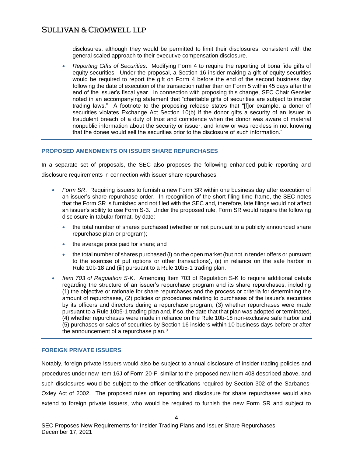disclosures, although they would be permitted to limit their disclosures, consistent with the general scaled approach to their executive compensation disclosure.

 *Reporting Gifts of Securities*. Modifying Form 4 to require the reporting of bona fide gifts of equity securities. Under the proposal, a Section 16 insider making a gift of equity securities would be required to report the gift on Form 4 before the end of the second business day following the date of execution of the transaction rather than on Form 5 within 45 days after the end of the issuer's fiscal year. In connection with proposing this change, SEC Chair Gensler noted in an accompanying statement that "charitable gifts of securities are subject to insider trading laws." A footnote to the proposing release states that "[f]or example, a donor of securities violates Exchange Act Section 10(b) if the donor gifts a security of an issuer in fraudulent breach of a duty of trust and confidence when the donor was aware of material nonpublic information about the security or issuer, and knew or was reckless in not knowing that the donee would sell the securities prior to the disclosure of such information."

#### **PROPOSED AMENDMENTS ON ISSUER SHARE REPURCHASES**

In a separate set of proposals, the SEC also proposes the following enhanced public reporting and disclosure requirements in connection with issuer share repurchases:

- *Form SR.* Requiring issuers to furnish a new Form SR within one business day after execution of an issuer's share repurchase order. In recognition of the short filing time-frame, the SEC notes that the Form SR is furnished and not filed with the SEC and, therefore, late filings would not affect an issuer's ability to use Form S-3. Under the proposed rule, Form SR would require the following disclosure in tabular format, by date:
	- the total number of shares purchased (whether or not pursuant to a publicly announced share repurchase plan or program);
	- the average price paid for share; and
	- the total number of shares purchased (i) on the open market (but not in tender offers or pursuant to the exercise of put options or other transactions), (ii) in reliance on the safe harbor in Rule 10b-18 and (iii) pursuant to a Rule 10b5-1 trading plan.
- *Item 703 of Regulation S-K*. Amending Item 703 of Regulation S-K to require additional details regarding the structure of an issuer's repurchase program and its share repurchases, including (1) the objective or rationale for share repurchases and the process or criteria for determining the amount of repurchases, (2) policies or procedures relating to purchases of the issuer's securities by its officers and directors during a repurchase program, (3) whether repurchases were made pursuant to a Rule 10b5-1 trading plan and, if so, the date that that plan was adopted or terminated, (4) whether repurchases were made in reliance on the Rule 10b-18 non-exclusive safe harbor and (5) purchases or sales of securities by Section 16 insiders within 10 business days before or after the announcement of a repurchase plan.<sup>3</sup>

#### **FOREIGN PRIVATE ISSUERS**

Notably, foreign private issuers would also be subject to annual disclosure of insider trading policies and procedures under new Item 16J of Form 20-F, similar to the proposed new Item 408 described above, and such disclosures would be subject to the officer certifications required by Section 302 of the Sarbanes-Oxley Act of 2002. The proposed rules on reporting and disclosure for share repurchases would also extend to foreign private issuers, who would be required to furnish the new Form SR and subject to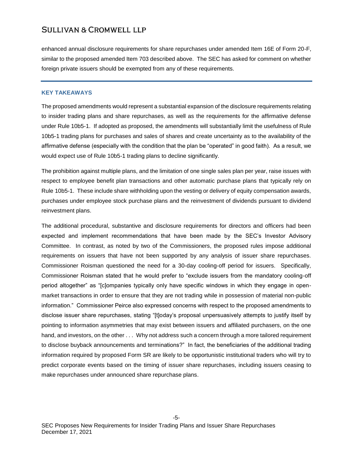enhanced annual disclosure requirements for share repurchases under amended Item 16E of Form 20-F, similar to the proposed amended Item 703 described above. The SEC has asked for comment on whether foreign private issuers should be exempted from any of these requirements.

#### **KEY TAKEAWAYS**

The proposed amendments would represent a substantial expansion of the disclosure requirements relating to insider trading plans and share repurchases, as well as the requirements for the affirmative defense under Rule 10b5-1. If adopted as proposed, the amendments will substantially limit the usefulness of Rule 10b5-1 trading plans for purchases and sales of shares and create uncertainty as to the availability of the affirmative defense (especially with the condition that the plan be "operated" in good faith). As a result, we would expect use of Rule 10b5-1 trading plans to decline significantly.

The prohibition against multiple plans, and the limitation of one single sales plan per year, raise issues with respect to employee benefit plan transactions and other automatic purchase plans that typically rely on Rule 10b5-1. These include share withholding upon the vesting or delivery of equity compensation awards, purchases under employee stock purchase plans and the reinvestment of dividends pursuant to dividend reinvestment plans.

The additional procedural, substantive and disclosure requirements for directors and officers had been expected and implement recommendations that have been made by the SEC's Investor Advisory Committee. In contrast, as noted by two of the Commissioners, the proposed rules impose additional requirements on issuers that have not been supported by any analysis of issuer share repurchases. Commissioner Roisman questioned the need for a 30-day cooling-off period for issuers. Specifically, Commissioner Roisman stated that he would prefer to "exclude issuers from the mandatory cooling-off period altogether" as "[c]ompanies typically only have specific windows in which they engage in openmarket transactions in order to ensure that they are not trading while in possession of material non-public information." Commissioner Peirce also expressed concerns with respect to the proposed amendments to disclose issuer share repurchases, stating "[t]oday's proposal unpersuasively attempts to justify itself by pointing to information asymmetries that may exist between issuers and affiliated purchasers, on the one hand, and investors, on the other . . . Why not address such a concern through a more tailored requirement to disclose buyback announcements and terminations?" In fact, the beneficiaries of the additional trading information required by proposed Form SR are likely to be opportunistic institutional traders who will try to predict corporate events based on the timing of issuer share repurchases, including issuers ceasing to make repurchases under announced share repurchase plans.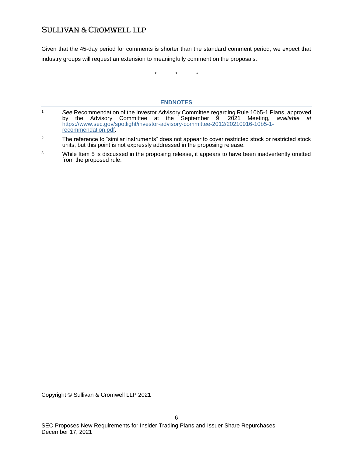Given that the 45-day period for comments is shorter than the standard comment period, we expect that industry groups will request an extension to meaningfully comment on the proposals.

\* \* \*

## **ENDNOTES**

- <sup>1</sup> *See* Recommendation of the Investor Advisory Committee regarding Rule 10b5-1 Plans, approved by the Advisory Committee at the September 9, 2021 Meeting, *available at* [https://www.sec.gov/spotlight/investor-advisory-committee-2012/20210916-10b5-1](https://www.sec.gov/spotlight/investor-advisory-committee-2012/20210916-10b5-1-recommendation.pdf) [recommendation.pdf.](https://www.sec.gov/spotlight/investor-advisory-committee-2012/20210916-10b5-1-recommendation.pdf)
- <sup>2</sup> The reference to "similar instruments" does not appear to cover restricted stock or restricted stock units, but this point is not expressly addressed in the proposing release.
- <sup>3</sup> While Item 5 is discussed in the proposing release, it appears to have been inadvertently omitted from the proposed rule.

Copyright © Sullivan & Cromwell LLP 2021